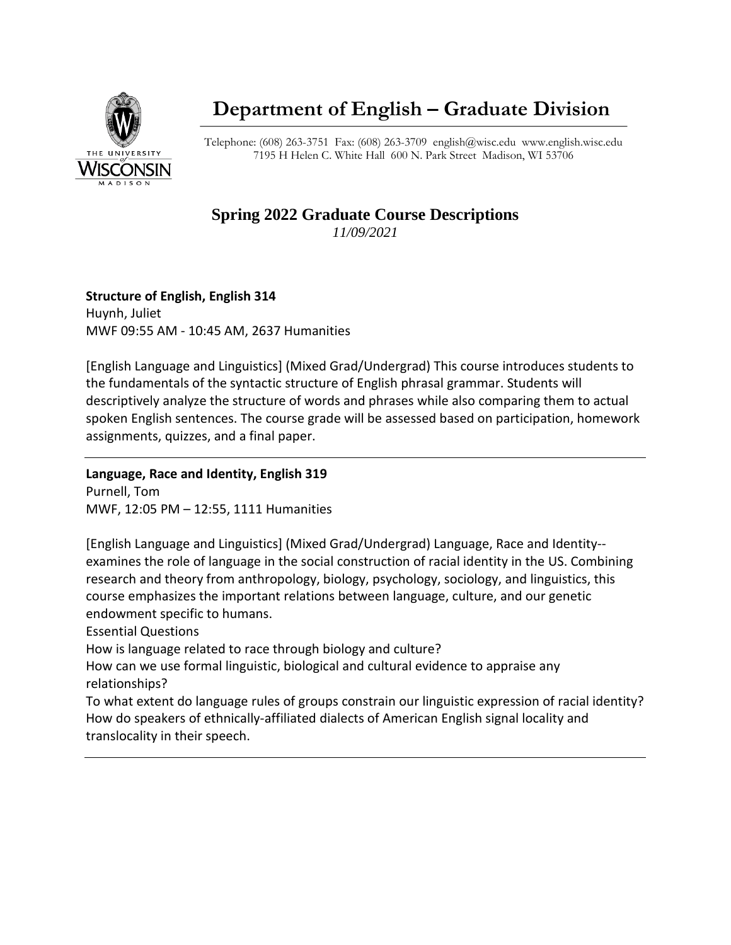

# **Department of English – Graduate Division**

Telephone: (608) 263-3751 Fax: (608) 263-3709 [english@wisc.edu](mailto:english@wisc.edu) www.english.wisc.edu 7195 H Helen C. White Hall 600 N. Park Street Madison, WI 53706

#### **Spring 2022 Graduate Course Descriptions** *11/09/2021*

## **Structure of English, English 314** Huynh, Juliet

MWF 09:55 AM - 10:45 AM, 2637 Humanities

[English Language and Linguistics] (Mixed Grad/Undergrad) This course introduces students to the fundamentals of the syntactic structure of English phrasal grammar. Students will descriptively analyze the structure of words and phrases while also comparing them to actual spoken English sentences. The course grade will be assessed based on participation, homework assignments, quizzes, and a final paper.

## **Language, Race and Identity, English 319**

Purnell, Tom MWF, 12:05 PM – 12:55, 1111 Humanities

[English Language and Linguistics] (Mixed Grad/Undergrad) Language, Race and Identity- examines the role of language in the social construction of racial identity in the US. Combining research and theory from anthropology, biology, psychology, sociology, and linguistics, this course emphasizes the important relations between language, culture, and our genetic endowment specific to humans.

Essential Questions

How is language related to race through biology and culture?

How can we use formal linguistic, biological and cultural evidence to appraise any relationships?

To what extent do language rules of groups constrain our linguistic expression of racial identity? How do speakers of ethnically-affiliated dialects of American English signal locality and translocality in their speech.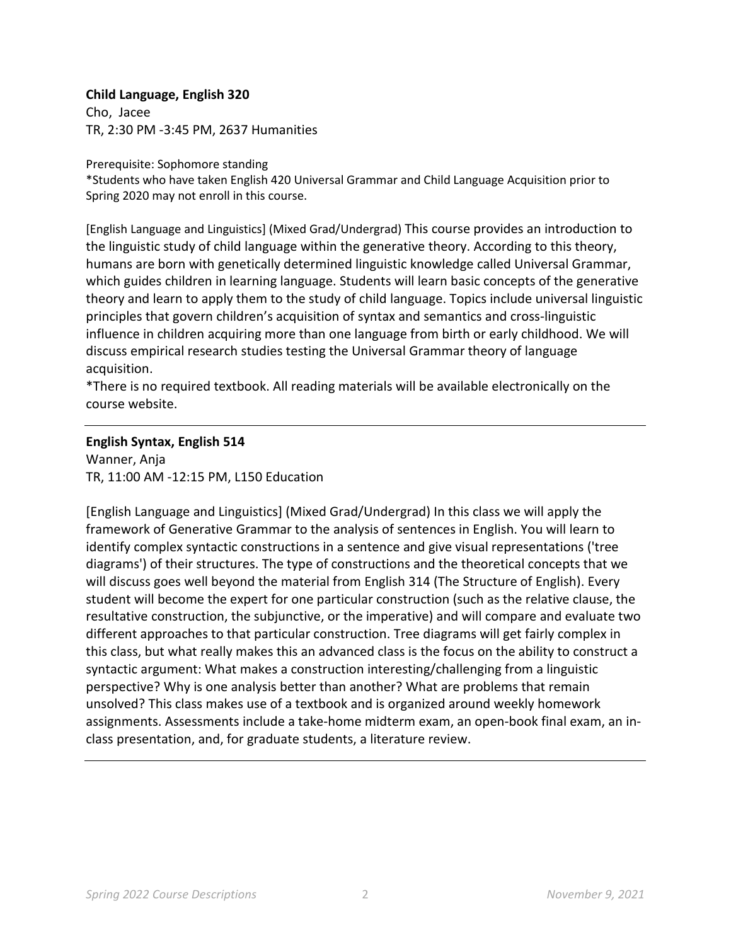#### **Child Language, English 320**

Cho, Jacee TR, 2:30 PM -3:45 PM, 2637 Humanities

Prerequisite: Sophomore standing

\*Students who have taken English 420 Universal Grammar and Child Language Acquisition prior to Spring 2020 may not enroll in this course.

[English Language and Linguistics] (Mixed Grad/Undergrad) This course provides an introduction to the linguistic study of child language within the generative theory. According to this theory, humans are born with genetically determined linguistic knowledge called Universal Grammar, which guides children in learning language. Students will learn basic concepts of the generative theory and learn to apply them to the study of child language. Topics include universal linguistic principles that govern children's acquisition of syntax and semantics and cross-linguistic influence in children acquiring more than one language from birth or early childhood. We will discuss empirical research studies testing the Universal Grammar theory of language acquisition.

\*There is no required textbook. All reading materials will be available electronically on the course website.

#### **English Syntax, English 514**

Wanner, Anja TR, 11:00 AM -12:15 PM, L150 Education

[English Language and Linguistics] (Mixed Grad/Undergrad) In this class we will apply the framework of Generative Grammar to the analysis of sentences in English. You will learn to identify complex syntactic constructions in a sentence and give visual representations ('tree diagrams') of their structures. The type of constructions and the theoretical concepts that we will discuss goes well beyond the material from English 314 (The Structure of English). Every student will become the expert for one particular construction (such as the relative clause, the resultative construction, the subjunctive, or the imperative) and will compare and evaluate two different approaches to that particular construction. Tree diagrams will get fairly complex in this class, but what really makes this an advanced class is the focus on the ability to construct a syntactic argument: What makes a construction interesting/challenging from a linguistic perspective? Why is one analysis better than another? What are problems that remain unsolved? This class makes use of a textbook and is organized around weekly homework assignments. Assessments include a take-home midterm exam, an open-book final exam, an inclass presentation, and, for graduate students, a literature review.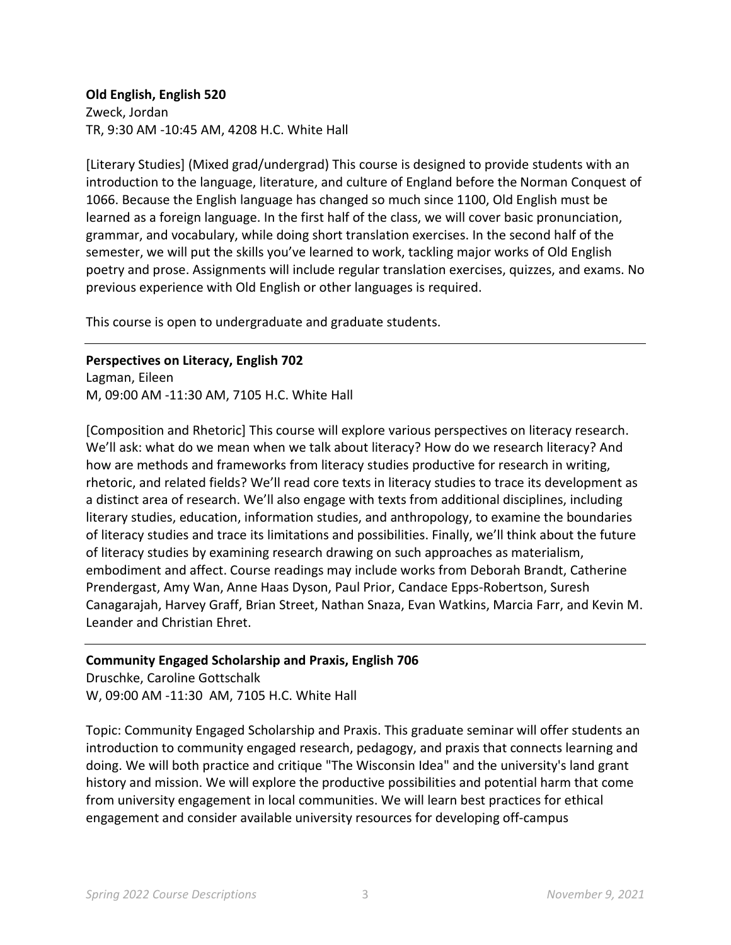**Old English, English 520** Zweck, Jordan TR, 9:30 AM -10:45 AM, 4208 H.C. White Hall

[Literary Studies] (Mixed grad/undergrad) This course is designed to provide students with an introduction to the language, literature, and culture of England before the Norman Conquest of 1066. Because the English language has changed so much since 1100, Old English must be learned as a foreign language. In the first half of the class, we will cover basic pronunciation, grammar, and vocabulary, while doing short translation exercises. In the second half of the semester, we will put the skills you've learned to work, tackling major works of Old English poetry and prose. Assignments will include regular translation exercises, quizzes, and exams. No previous experience with Old English or other languages is required.

This course is open to undergraduate and graduate students.

**Perspectives on Literacy, English 702** Lagman, Eileen M, 09:00 AM -11:30 AM, 7105 H.C. White Hall

[Composition and Rhetoric] This course will explore various perspectives on literacy research. We'll ask: what do we mean when we talk about literacy? How do we research literacy? And how are methods and frameworks from literacy studies productive for research in writing, rhetoric, and related fields? We'll read core texts in literacy studies to trace its development as a distinct area of research. We'll also engage with texts from additional disciplines, including literary studies, education, information studies, and anthropology, to examine the boundaries of literacy studies and trace its limitations and possibilities. Finally, we'll think about the future of literacy studies by examining research drawing on such approaches as materialism, embodiment and affect. Course readings may include works from Deborah Brandt, Catherine Prendergast, Amy Wan, Anne Haas Dyson, Paul Prior, Candace Epps-Robertson, Suresh Canagarajah, Harvey Graff, Brian Street, Nathan Snaza, Evan Watkins, Marcia Farr, and Kevin M. Leander and Christian Ehret.

## **Community Engaged Scholarship and Praxis, English 706**

Druschke, Caroline Gottschalk W, 09:00 AM -11:30 AM, 7105 H.C. White Hall

Topic: Community Engaged Scholarship and Praxis. This graduate seminar will offer students an introduction to community engaged research, pedagogy, and praxis that connects learning and doing. We will both practice and critique "The Wisconsin Idea" and the university's land grant history and mission. We will explore the productive possibilities and potential harm that come from university engagement in local communities. We will learn best practices for ethical engagement and consider available university resources for developing off-campus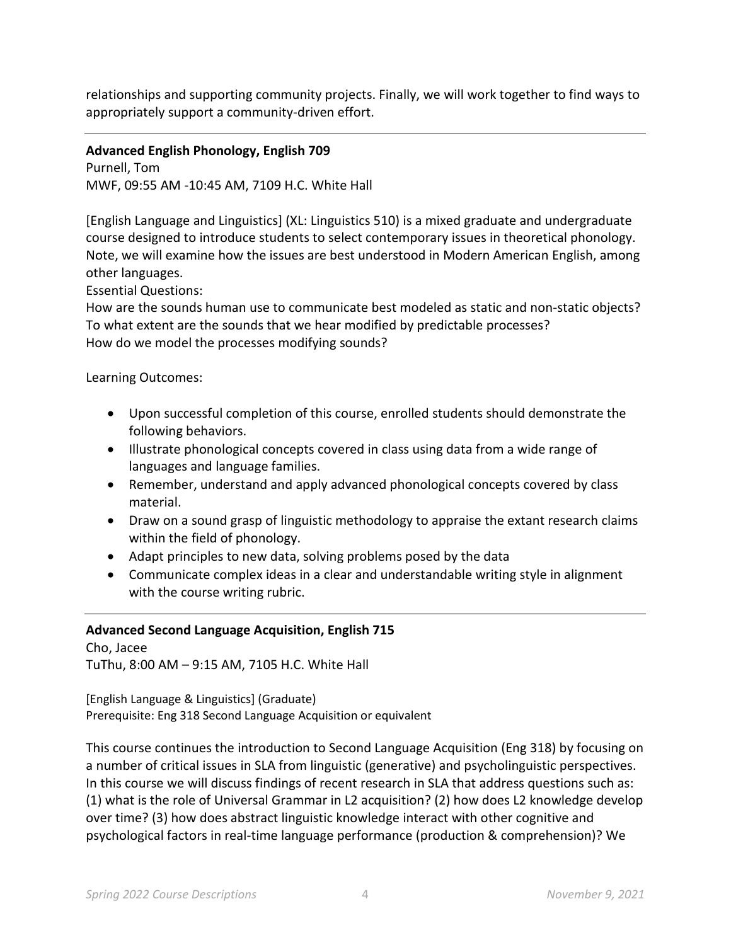relationships and supporting community projects. Finally, we will work together to find ways to appropriately support a community-driven effort.

**Advanced English Phonology, English 709** Purnell, Tom

MWF, 09:55 AM -10:45 AM, 7109 H.C. White Hall

[English Language and Linguistics] (XL: Linguistics 510) is a mixed graduate and undergraduate course designed to introduce students to select contemporary issues in theoretical phonology. Note, we will examine how the issues are best understood in Modern American English, among other languages.

Essential Questions:

How are the sounds human use to communicate best modeled as static and non-static objects? To what extent are the sounds that we hear modified by predictable processes? How do we model the processes modifying sounds?

Learning Outcomes:

- Upon successful completion of this course, enrolled students should demonstrate the following behaviors.
- Illustrate phonological concepts covered in class using data from a wide range of languages and language families.
- Remember, understand and apply advanced phonological concepts covered by class material.
- Draw on a sound grasp of linguistic methodology to appraise the extant research claims within the field of phonology.
- Adapt principles to new data, solving problems posed by the data
- Communicate complex ideas in a clear and understandable writing style in alignment with the course writing rubric.

## **Advanced Second Language Acquisition, English 715**

Cho, Jacee TuThu, 8:00 AM – 9:15 AM, 7105 H.C. White Hall

[English Language & Linguistics] (Graduate) Prerequisite: Eng 318 Second Language Acquisition or equivalent

This course continues the introduction to Second Language Acquisition (Eng 318) by focusing on a number of critical issues in SLA from linguistic (generative) and psycholinguistic perspectives. In this course we will discuss findings of recent research in SLA that address questions such as: (1) what is the role of Universal Grammar in L2 acquisition? (2) how does L2 knowledge develop over time? (3) how does abstract linguistic knowledge interact with other cognitive and psychological factors in real-time language performance (production & comprehension)? We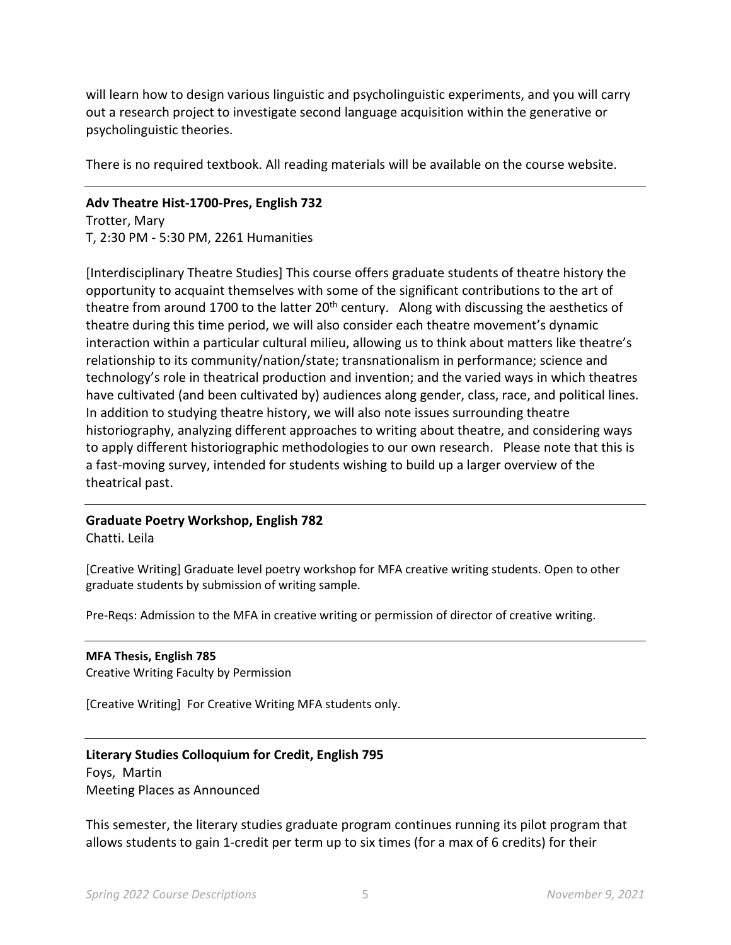will learn how to design various linguistic and psycholinguistic experiments, and you will carry out a research project to investigate second language acquisition within the generative or psycholinguistic theories.

There is no required textbook. All reading materials will be available on the course website.

#### **Adv Theatre Hist-1700-Pres, English 732**

Trotter, Mary T, 2:30 PM - 5:30 PM, 2261 Humanities

[Interdisciplinary Theatre Studies] This course offers graduate students of theatre history the opportunity to acquaint themselves with some of the significant contributions to the art of theatre from around 1700 to the latter  $20<sup>th</sup>$  century. Along with discussing the aesthetics of theatre during this time period, we will also consider each theatre movement's dynamic interaction within a particular cultural milieu, allowing us to think about matters like theatre's relationship to its community/nation/state; transnationalism in performance; science and technology's role in theatrical production and invention; and the varied ways in which theatres have cultivated (and been cultivated by) audiences along gender, class, race, and political lines. In addition to studying theatre history, we will also note issues surrounding theatre historiography, analyzing different approaches to writing about theatre, and considering ways to apply different historiographic methodologies to our own research. Please note that this is a fast-moving survey, intended for students wishing to build up a larger overview of the theatrical past.

## **Graduate Poetry Workshop, English 782**

Chatti. Leila

[Creative Writing] Graduate level poetry workshop for MFA creative writing students. Open to other graduate students by submission of writing sample.

Pre-Reqs: Admission to the MFA in creative writing or permission of director of creative writing.

#### **MFA Thesis, English 785** Creative Writing Faculty by Permission

[Creative Writing] For Creative Writing MFA students only.

## **Literary Studies Colloquium for Credit, English 795**

Foys, Martin Meeting Places as Announced

This semester, the literary studies graduate program continues running its pilot program that allows students to gain 1-credit per term up to six times (for a max of 6 credits) for their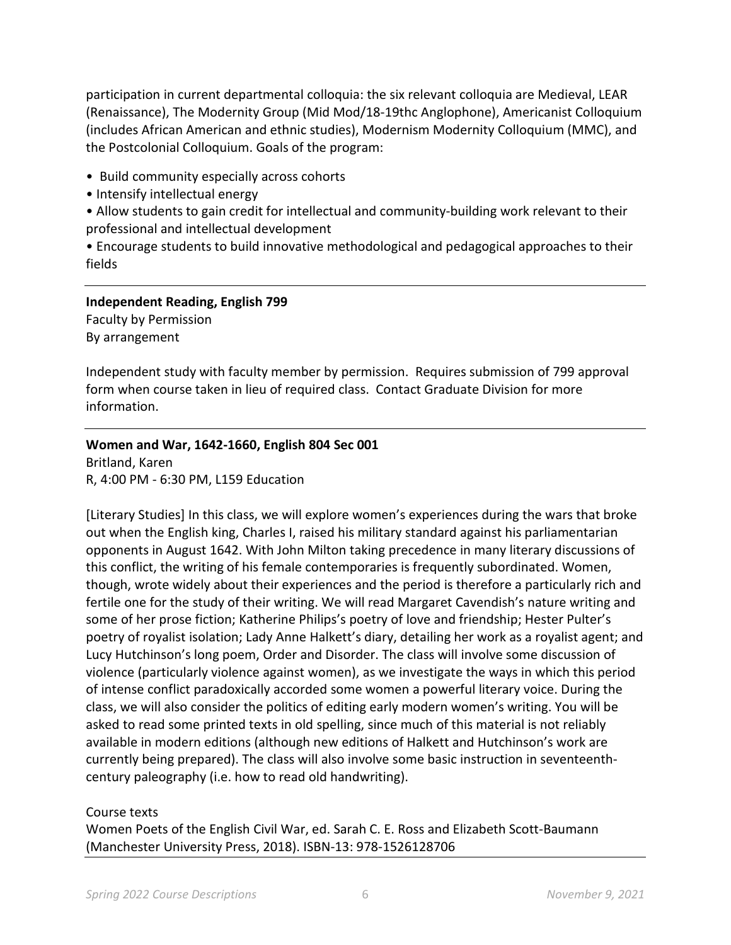participation in current departmental colloquia: the six relevant colloquia are Medieval, LEAR (Renaissance), The Modernity Group (Mid Mod/18-19thc Anglophone), Americanist Colloquium (includes African American and ethnic studies), Modernism Modernity Colloquium (MMC), and the Postcolonial Colloquium. Goals of the program:

• Build community especially across cohorts

- Intensify intellectual energy
- Allow students to gain credit for intellectual and community-building work relevant to their professional and intellectual development

• Encourage students to build innovative methodological and pedagogical approaches to their fields

**Independent Reading, English 799** Faculty by Permission By arrangement

Independent study with faculty member by permission. Requires submission of 799 approval form when course taken in lieu of required class. Contact Graduate Division for more information.

#### **Women and War, 1642-1660, English 804 Sec 001**

Britland, Karen R, 4:00 PM - 6:30 PM, L159 Education

[Literary Studies] In this class, we will explore women's experiences during the wars that broke out when the English king, Charles I, raised his military standard against his parliamentarian opponents in August 1642. With John Milton taking precedence in many literary discussions of this conflict, the writing of his female contemporaries is frequently subordinated. Women, though, wrote widely about their experiences and the period is therefore a particularly rich and fertile one for the study of their writing. We will read Margaret Cavendish's nature writing and some of her prose fiction; Katherine Philips's poetry of love and friendship; Hester Pulter's poetry of royalist isolation; Lady Anne Halkett's diary, detailing her work as a royalist agent; and Lucy Hutchinson's long poem, Order and Disorder. The class will involve some discussion of violence (particularly violence against women), as we investigate the ways in which this period of intense conflict paradoxically accorded some women a powerful literary voice. During the class, we will also consider the politics of editing early modern women's writing. You will be asked to read some printed texts in old spelling, since much of this material is not reliably available in modern editions (although new editions of Halkett and Hutchinson's work are currently being prepared). The class will also involve some basic instruction in seventeenthcentury paleography (i.e. how to read old handwriting).

#### Course texts

Women Poets of the English Civil War, ed. Sarah C. E. Ross and Elizabeth Scott-Baumann (Manchester University Press, 2018). ISBN-13: 978-1526128706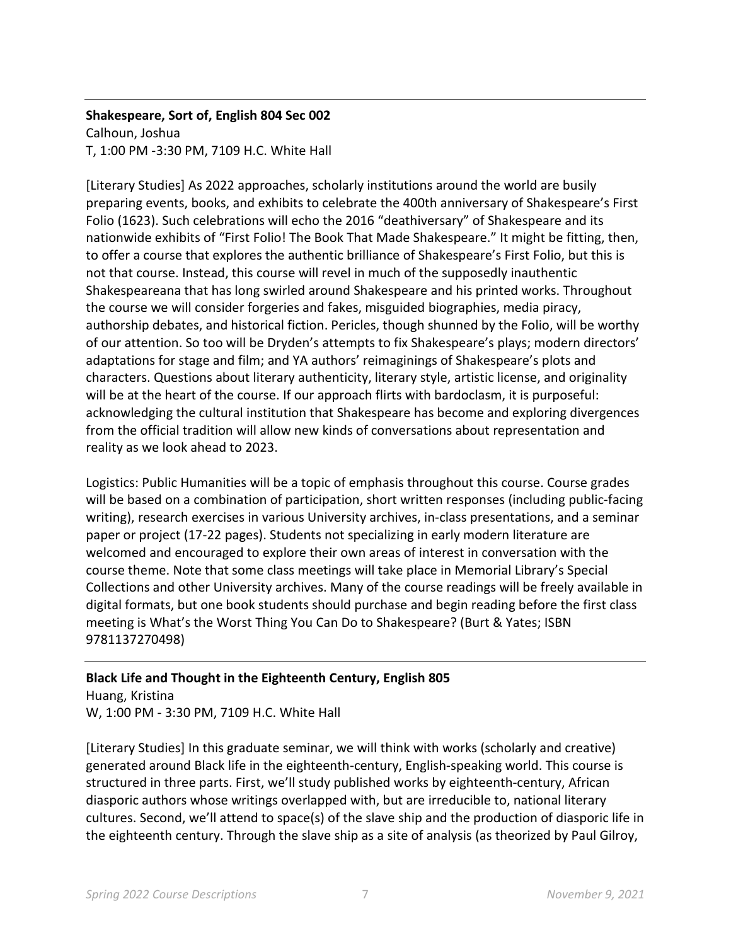## **Shakespeare, Sort of, English 804 Sec 002** Calhoun, Joshua

T, 1:00 PM -3:30 PM, 7109 H.C. White Hall

[Literary Studies] As 2022 approaches, scholarly institutions around the world are busily preparing events, books, and exhibits to celebrate the 400th anniversary of Shakespeare's First Folio (1623). Such celebrations will echo the 2016 "deathiversary" of Shakespeare and its nationwide exhibits of "First Folio! The Book That Made Shakespeare." It might be fitting, then, to offer a course that explores the authentic brilliance of Shakespeare's First Folio, but this is not that course. Instead, this course will revel in much of the supposedly inauthentic Shakespeareana that has long swirled around Shakespeare and his printed works. Throughout the course we will consider forgeries and fakes, misguided biographies, media piracy, authorship debates, and historical fiction. Pericles, though shunned by the Folio, will be worthy of our attention. So too will be Dryden's attempts to fix Shakespeare's plays; modern directors' adaptations for stage and film; and YA authors' reimaginings of Shakespeare's plots and characters. Questions about literary authenticity, literary style, artistic license, and originality will be at the heart of the course. If our approach flirts with bardoclasm, it is purposeful: acknowledging the cultural institution that Shakespeare has become and exploring divergences from the official tradition will allow new kinds of conversations about representation and reality as we look ahead to 2023.

Logistics: Public Humanities will be a topic of emphasis throughout this course. Course grades will be based on a combination of participation, short written responses (including public-facing writing), research exercises in various University archives, in-class presentations, and a seminar paper or project (17-22 pages). Students not specializing in early modern literature are welcomed and encouraged to explore their own areas of interest in conversation with the course theme. Note that some class meetings will take place in Memorial Library's Special Collections and other University archives. Many of the course readings will be freely available in digital formats, but one book students should purchase and begin reading before the first class meeting is What's the Worst Thing You Can Do to Shakespeare? (Burt & Yates; ISBN 9781137270498)

## **Black Life and Thought in the Eighteenth Century, English 805**

Huang, Kristina W, 1:00 PM - 3:30 PM, 7109 H.C. White Hall

[Literary Studies] In this graduate seminar, we will think with works (scholarly and creative) generated around Black life in the eighteenth-century, English-speaking world. This course is structured in three parts. First, we'll study published works by eighteenth-century, African diasporic authors whose writings overlapped with, but are irreducible to, national literary cultures. Second, we'll attend to space(s) of the slave ship and the production of diasporic life in the eighteenth century. Through the slave ship as a site of analysis (as theorized by Paul Gilroy,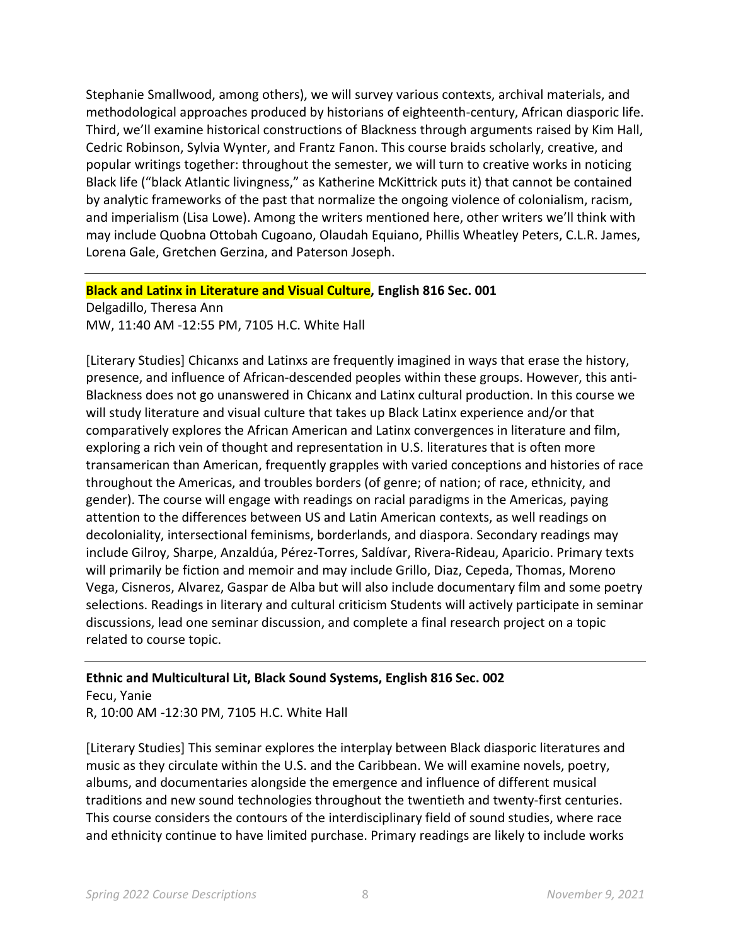Stephanie Smallwood, among others), we will survey various contexts, archival materials, and methodological approaches produced by historians of eighteenth-century, African diasporic life. Third, we'll examine historical constructions of Blackness through arguments raised by Kim Hall, Cedric Robinson, Sylvia Wynter, and Frantz Fanon. This course braids scholarly, creative, and popular writings together: throughout the semester, we will turn to creative works in noticing Black life ("black Atlantic livingness," as Katherine McKittrick puts it) that cannot be contained by analytic frameworks of the past that normalize the ongoing violence of colonialism, racism, and imperialism (Lisa Lowe). Among the writers mentioned here, other writers we'll think with may include Quobna Ottobah Cugoano, Olaudah Equiano, Phillis Wheatley Peters, C.L.R. James, Lorena Gale, Gretchen Gerzina, and Paterson Joseph.

#### **Black and Latinx in Literature and Visual Culture, English 816 Sec. 001**

Delgadillo, Theresa Ann MW, 11:40 AM -12:55 PM, 7105 H.C. White Hall

[Literary Studies] Chicanxs and Latinxs are frequently imagined in ways that erase the history, presence, and influence of African-descended peoples within these groups. However, this anti-Blackness does not go unanswered in Chicanx and Latinx cultural production. In this course we will study literature and visual culture that takes up Black Latinx experience and/or that comparatively explores the African American and Latinx convergences in literature and film, exploring a rich vein of thought and representation in U.S. literatures that is often more transamerican than American, frequently grapples with varied conceptions and histories of race throughout the Americas, and troubles borders (of genre; of nation; of race, ethnicity, and gender). The course will engage with readings on racial paradigms in the Americas, paying attention to the differences between US and Latin American contexts, as well readings on decoloniality, intersectional feminisms, borderlands, and diaspora. Secondary readings may include Gilroy, Sharpe, Anzaldúa, Pérez-Torres, Saldívar, Rivera-Rideau, Aparicio. Primary texts will primarily be fiction and memoir and may include Grillo, Diaz, Cepeda, Thomas, Moreno Vega, Cisneros, Alvarez, Gaspar de Alba but will also include documentary film and some poetry selections. Readings in literary and cultural criticism Students will actively participate in seminar discussions, lead one seminar discussion, and complete a final research project on a topic related to course topic.

## **Ethnic and Multicultural Lit, Black Sound Systems, English 816 Sec. 002**

Fecu, Yanie R, 10:00 AM -12:30 PM, 7105 H.C. White Hall

[Literary Studies] This seminar explores the interplay between Black diasporic literatures and music as they circulate within the U.S. and the Caribbean. We will examine novels, poetry, albums, and documentaries alongside the emergence and influence of different musical traditions and new sound technologies throughout the twentieth and twenty-first centuries. This course considers the contours of the interdisciplinary field of sound studies, where race and ethnicity continue to have limited purchase. Primary readings are likely to include works